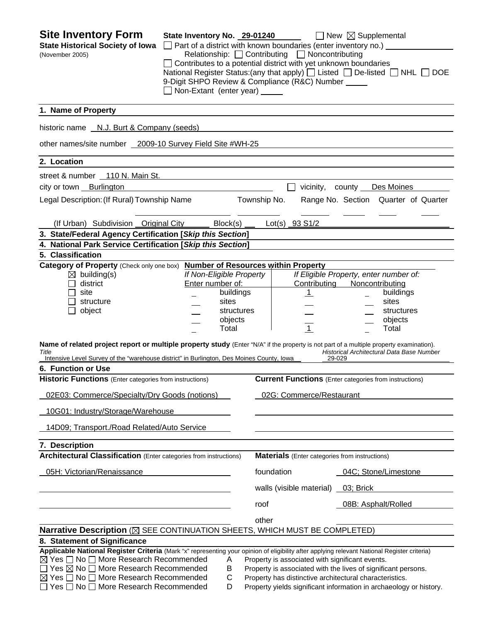| <b>Site Inventory Form</b><br><b>State Historical Society of Iowa</b><br>(November 2005)                                                                                                                                                                                                                                                                                                                                 | State Inventory No. 29-01240<br>Non-Extant (enter year) _____                                        | □ Part of a district with known boundaries (enter inventory no.) _<br>Relationship: □ Contributing □ Noncontributing<br>$\Box$ Contributes to a potential district with yet unknown boundaries<br>National Register Status: (any that apply) [ Listed $\Box$ De-listed $\Box$ NHL $\Box$<br>9-Digit SHPO Review & Compliance (R&C) Number _____ | $\Box$ New $\boxtimes$ Supplemental<br><b>DOE</b>                                                                 |
|--------------------------------------------------------------------------------------------------------------------------------------------------------------------------------------------------------------------------------------------------------------------------------------------------------------------------------------------------------------------------------------------------------------------------|------------------------------------------------------------------------------------------------------|-------------------------------------------------------------------------------------------------------------------------------------------------------------------------------------------------------------------------------------------------------------------------------------------------------------------------------------------------|-------------------------------------------------------------------------------------------------------------------|
| 1. Name of Property                                                                                                                                                                                                                                                                                                                                                                                                      |                                                                                                      |                                                                                                                                                                                                                                                                                                                                                 |                                                                                                                   |
| historic name N.J. Burt & Company (seeds)                                                                                                                                                                                                                                                                                                                                                                                |                                                                                                      |                                                                                                                                                                                                                                                                                                                                                 |                                                                                                                   |
| other names/site number 2009-10 Survey Field Site #WH-25                                                                                                                                                                                                                                                                                                                                                                 |                                                                                                      |                                                                                                                                                                                                                                                                                                                                                 |                                                                                                                   |
| 2. Location                                                                                                                                                                                                                                                                                                                                                                                                              |                                                                                                      |                                                                                                                                                                                                                                                                                                                                                 |                                                                                                                   |
| street & number 110 N. Main St.                                                                                                                                                                                                                                                                                                                                                                                          |                                                                                                      |                                                                                                                                                                                                                                                                                                                                                 |                                                                                                                   |
| city or town Burlington                                                                                                                                                                                                                                                                                                                                                                                                  |                                                                                                      |                                                                                                                                                                                                                                                                                                                                                 | vicinity, county Des Moines                                                                                       |
| Legal Description: (If Rural) Township Name                                                                                                                                                                                                                                                                                                                                                                              |                                                                                                      | Township No.                                                                                                                                                                                                                                                                                                                                    | Range No. Section Quarter of Quarter                                                                              |
| (If Urban) Subdivision Original City                                                                                                                                                                                                                                                                                                                                                                                     | Block(s)                                                                                             | Lot(s) 93 S1/2                                                                                                                                                                                                                                                                                                                                  |                                                                                                                   |
| 3. State/Federal Agency Certification [Skip this Section]                                                                                                                                                                                                                                                                                                                                                                |                                                                                                      |                                                                                                                                                                                                                                                                                                                                                 |                                                                                                                   |
| 4. National Park Service Certification [Skip this Section]                                                                                                                                                                                                                                                                                                                                                               |                                                                                                      |                                                                                                                                                                                                                                                                                                                                                 |                                                                                                                   |
| 5. Classification<br>Category of Property (Check only one box) Number of Resources within Property                                                                                                                                                                                                                                                                                                                       |                                                                                                      |                                                                                                                                                                                                                                                                                                                                                 |                                                                                                                   |
| $\boxtimes$ building(s)<br>district<br>site<br>structure<br>object                                                                                                                                                                                                                                                                                                                                                       | If Non-Eligible Property<br>Enter number of:<br>buildings<br>sites<br>structures<br>objects<br>Total | Contributing<br>$\mathbf{1}$<br>$\overline{1}$                                                                                                                                                                                                                                                                                                  | If Eligible Property, enter number of:<br>Noncontributing<br>buildings<br>sites<br>structures<br>objects<br>Total |
| Name of related project report or multiple property study (Enter "N/A" if the property is not part of a multiple property examination).<br>Title<br>Intensive Level Survey of the "warehouse district" in Burlington, Des Moines County, Iowa                                                                                                                                                                            |                                                                                                      |                                                                                                                                                                                                                                                                                                                                                 | Historical Architectural Data Base Number<br>29-029                                                               |
| 6. Function or Use                                                                                                                                                                                                                                                                                                                                                                                                       |                                                                                                      |                                                                                                                                                                                                                                                                                                                                                 |                                                                                                                   |
| <b>Historic Functions</b> (Enter categories from instructions)                                                                                                                                                                                                                                                                                                                                                           |                                                                                                      |                                                                                                                                                                                                                                                                                                                                                 | <b>Current Functions</b> (Enter categories from instructions)                                                     |
| 02E03: Commerce/Specialty/Dry Goods (notions)                                                                                                                                                                                                                                                                                                                                                                            |                                                                                                      | 02G: Commerce/Restaurant                                                                                                                                                                                                                                                                                                                        |                                                                                                                   |
| 10G01: Industry/Storage/Warehouse                                                                                                                                                                                                                                                                                                                                                                                        |                                                                                                      |                                                                                                                                                                                                                                                                                                                                                 |                                                                                                                   |
| 14D09; Transport./Road Related/Auto Service                                                                                                                                                                                                                                                                                                                                                                              |                                                                                                      |                                                                                                                                                                                                                                                                                                                                                 |                                                                                                                   |
| 7. Description                                                                                                                                                                                                                                                                                                                                                                                                           |                                                                                                      |                                                                                                                                                                                                                                                                                                                                                 |                                                                                                                   |
| <b>Architectural Classification</b> (Enter categories from instructions)                                                                                                                                                                                                                                                                                                                                                 |                                                                                                      | <b>Materials</b> (Enter categories from instructions)                                                                                                                                                                                                                                                                                           |                                                                                                                   |
| 05H: Victorian/Renaissance                                                                                                                                                                                                                                                                                                                                                                                               |                                                                                                      | foundation                                                                                                                                                                                                                                                                                                                                      | 04C; Stone/Limestone                                                                                              |
|                                                                                                                                                                                                                                                                                                                                                                                                                          |                                                                                                      | walls (visible material)                                                                                                                                                                                                                                                                                                                        | 03; Brick                                                                                                         |
|                                                                                                                                                                                                                                                                                                                                                                                                                          |                                                                                                      | roof                                                                                                                                                                                                                                                                                                                                            | 08B: Asphalt/Rolled                                                                                               |
|                                                                                                                                                                                                                                                                                                                                                                                                                          |                                                                                                      | other                                                                                                                                                                                                                                                                                                                                           |                                                                                                                   |
| Narrative Description ( $\boxtimes$ SEE CONTINUATION SHEETS, WHICH MUST BE COMPLETED)                                                                                                                                                                                                                                                                                                                                    |                                                                                                      |                                                                                                                                                                                                                                                                                                                                                 |                                                                                                                   |
| 8. Statement of Significance<br>Applicable National Register Criteria (Mark "x" representing your opinion of eligibility after applying relevant National Register criteria)<br>$\boxtimes$ Yes $\Box$ No $\Box$ More Research Recommended<br>Yes $\boxtimes$ No $\Box$ More Research Recommended<br>$\boxtimes$ Yes $\Box$ No $\Box$ More Research Recommended<br>$\Box$ Yes $\Box$ No $\Box$ More Research Recommended | Α<br>B<br>C<br>D                                                                                     | Property is associated with significant events.<br>Property is associated with the lives of significant persons.<br>Property has distinctive architectural characteristics.                                                                                                                                                                     | Property yields significant information in archaeology or history.                                                |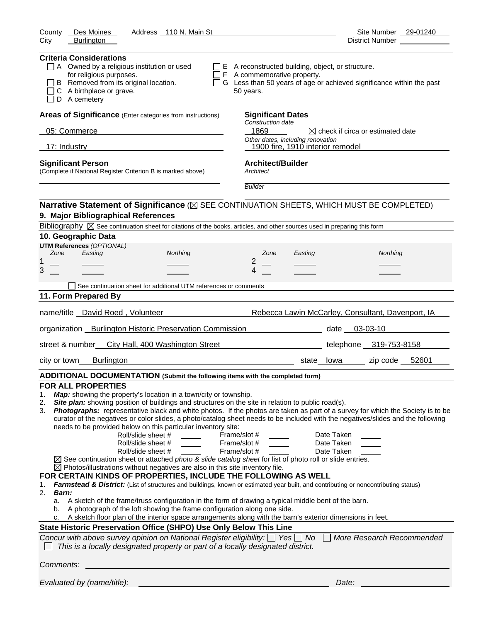| Address 110 N. Main St<br>County<br>Des Moines                                                                                                                                                                                                                                                                                                                                                                                                                                                                                                                                                                                                                                                                                                                                                                                                                                                                                                                                                                                                                                                                                                                                                                                                                                                                                                                                                                                                                                                                                                                                                                                                                                                                                                         | Site Number 29-01240                              |
|--------------------------------------------------------------------------------------------------------------------------------------------------------------------------------------------------------------------------------------------------------------------------------------------------------------------------------------------------------------------------------------------------------------------------------------------------------------------------------------------------------------------------------------------------------------------------------------------------------------------------------------------------------------------------------------------------------------------------------------------------------------------------------------------------------------------------------------------------------------------------------------------------------------------------------------------------------------------------------------------------------------------------------------------------------------------------------------------------------------------------------------------------------------------------------------------------------------------------------------------------------------------------------------------------------------------------------------------------------------------------------------------------------------------------------------------------------------------------------------------------------------------------------------------------------------------------------------------------------------------------------------------------------------------------------------------------------------------------------------------------------|---------------------------------------------------|
| City<br><b>Burlington</b>                                                                                                                                                                                                                                                                                                                                                                                                                                                                                                                                                                                                                                                                                                                                                                                                                                                                                                                                                                                                                                                                                                                                                                                                                                                                                                                                                                                                                                                                                                                                                                                                                                                                                                                              | District Number                                   |
| <b>Criteria Considerations</b><br>$\Box$ A Owned by a religious institution or used<br>$\Box$ E A reconstructed building, object, or structure.<br>for religious purposes.<br>$\Box$ F A commemorative property.                                                                                                                                                                                                                                                                                                                                                                                                                                                                                                                                                                                                                                                                                                                                                                                                                                                                                                                                                                                                                                                                                                                                                                                                                                                                                                                                                                                                                                                                                                                                       |                                                   |
| □ G Less than 50 years of age or achieved significance within the past<br>B Removed from its original location.<br>C A birthplace or grave.<br>50 years.<br>D A cemetery                                                                                                                                                                                                                                                                                                                                                                                                                                                                                                                                                                                                                                                                                                                                                                                                                                                                                                                                                                                                                                                                                                                                                                                                                                                                                                                                                                                                                                                                                                                                                                               |                                                   |
| Areas of Significance (Enter categories from instructions)<br><b>Significant Dates</b><br>Construction date                                                                                                                                                                                                                                                                                                                                                                                                                                                                                                                                                                                                                                                                                                                                                                                                                                                                                                                                                                                                                                                                                                                                                                                                                                                                                                                                                                                                                                                                                                                                                                                                                                            |                                                   |
| 1869<br>05: Commerce                                                                                                                                                                                                                                                                                                                                                                                                                                                                                                                                                                                                                                                                                                                                                                                                                                                                                                                                                                                                                                                                                                                                                                                                                                                                                                                                                                                                                                                                                                                                                                                                                                                                                                                                   | $\boxtimes$ check if circa or estimated date      |
| Other dates, including renovation<br>17: Industry<br>1900 fire, 1910 interior remodel                                                                                                                                                                                                                                                                                                                                                                                                                                                                                                                                                                                                                                                                                                                                                                                                                                                                                                                                                                                                                                                                                                                                                                                                                                                                                                                                                                                                                                                                                                                                                                                                                                                                  |                                                   |
| <b>Significant Person</b><br><b>Architect/Builder</b><br>(Complete if National Register Criterion B is marked above)<br>Architect                                                                                                                                                                                                                                                                                                                                                                                                                                                                                                                                                                                                                                                                                                                                                                                                                                                                                                                                                                                                                                                                                                                                                                                                                                                                                                                                                                                                                                                                                                                                                                                                                      |                                                   |
| <b>Builder</b>                                                                                                                                                                                                                                                                                                                                                                                                                                                                                                                                                                                                                                                                                                                                                                                                                                                                                                                                                                                                                                                                                                                                                                                                                                                                                                                                                                                                                                                                                                                                                                                                                                                                                                                                         |                                                   |
| Narrative Statement of Significance ( $\boxtimes$ SEE CONTINUATION SHEETS, WHICH MUST BE COMPLETED)                                                                                                                                                                                                                                                                                                                                                                                                                                                                                                                                                                                                                                                                                                                                                                                                                                                                                                                                                                                                                                                                                                                                                                                                                                                                                                                                                                                                                                                                                                                                                                                                                                                    |                                                   |
| 9. Major Bibliographical References                                                                                                                                                                                                                                                                                                                                                                                                                                                                                                                                                                                                                                                                                                                                                                                                                                                                                                                                                                                                                                                                                                                                                                                                                                                                                                                                                                                                                                                                                                                                                                                                                                                                                                                    |                                                   |
| Bibliography $\boxtimes$ See continuation sheet for citations of the books, articles, and other sources used in preparing this form                                                                                                                                                                                                                                                                                                                                                                                                                                                                                                                                                                                                                                                                                                                                                                                                                                                                                                                                                                                                                                                                                                                                                                                                                                                                                                                                                                                                                                                                                                                                                                                                                    |                                                   |
| 10. Geographic Data<br><b>UTM References (OPTIONAL)</b>                                                                                                                                                                                                                                                                                                                                                                                                                                                                                                                                                                                                                                                                                                                                                                                                                                                                                                                                                                                                                                                                                                                                                                                                                                                                                                                                                                                                                                                                                                                                                                                                                                                                                                |                                                   |
| Zone<br>Easting<br>Northing<br>Zone<br>Easting                                                                                                                                                                                                                                                                                                                                                                                                                                                                                                                                                                                                                                                                                                                                                                                                                                                                                                                                                                                                                                                                                                                                                                                                                                                                                                                                                                                                                                                                                                                                                                                                                                                                                                         | Northing                                          |
| 2<br>1<br>3<br>4                                                                                                                                                                                                                                                                                                                                                                                                                                                                                                                                                                                                                                                                                                                                                                                                                                                                                                                                                                                                                                                                                                                                                                                                                                                                                                                                                                                                                                                                                                                                                                                                                                                                                                                                       |                                                   |
|                                                                                                                                                                                                                                                                                                                                                                                                                                                                                                                                                                                                                                                                                                                                                                                                                                                                                                                                                                                                                                                                                                                                                                                                                                                                                                                                                                                                                                                                                                                                                                                                                                                                                                                                                        |                                                   |
| See continuation sheet for additional UTM references or comments<br>11. Form Prepared By                                                                                                                                                                                                                                                                                                                                                                                                                                                                                                                                                                                                                                                                                                                                                                                                                                                                                                                                                                                                                                                                                                                                                                                                                                                                                                                                                                                                                                                                                                                                                                                                                                                               |                                                   |
|                                                                                                                                                                                                                                                                                                                                                                                                                                                                                                                                                                                                                                                                                                                                                                                                                                                                                                                                                                                                                                                                                                                                                                                                                                                                                                                                                                                                                                                                                                                                                                                                                                                                                                                                                        |                                                   |
| name/title David Roed, Volunteer                                                                                                                                                                                                                                                                                                                                                                                                                                                                                                                                                                                                                                                                                                                                                                                                                                                                                                                                                                                                                                                                                                                                                                                                                                                                                                                                                                                                                                                                                                                                                                                                                                                                                                                       | Rebecca Lawin McCarley, Consultant, Davenport, IA |
| organization Burlington Historic Preservation Commission <b>Example 2014</b>                                                                                                                                                                                                                                                                                                                                                                                                                                                                                                                                                                                                                                                                                                                                                                                                                                                                                                                                                                                                                                                                                                                                                                                                                                                                                                                                                                                                                                                                                                                                                                                                                                                                           | date 03-03-10                                     |
| street & number<br>City Hall, 400 Washington Street                                                                                                                                                                                                                                                                                                                                                                                                                                                                                                                                                                                                                                                                                                                                                                                                                                                                                                                                                                                                                                                                                                                                                                                                                                                                                                                                                                                                                                                                                                                                                                                                                                                                                                    | telephone 319-753-8158                            |
| <b>Burlington</b><br>city or town<br>state lowa                                                                                                                                                                                                                                                                                                                                                                                                                                                                                                                                                                                                                                                                                                                                                                                                                                                                                                                                                                                                                                                                                                                                                                                                                                                                                                                                                                                                                                                                                                                                                                                                                                                                                                        | zip code 52601                                    |
| ADDITIONAL DOCUMENTATION (Submit the following items with the completed form)                                                                                                                                                                                                                                                                                                                                                                                                                                                                                                                                                                                                                                                                                                                                                                                                                                                                                                                                                                                                                                                                                                                                                                                                                                                                                                                                                                                                                                                                                                                                                                                                                                                                          |                                                   |
| <b>FOR ALL PROPERTIES</b><br>Map: showing the property's location in a town/city or township.<br>1.<br>Site plan: showing position of buildings and structures on the site in relation to public road(s).<br>2.<br>Photographs: representative black and white photos. If the photos are taken as part of a survey for which the Society is to be<br>3.<br>curator of the negatives or color slides, a photo/catalog sheet needs to be included with the negatives/slides and the following<br>needs to be provided below on this particular inventory site:<br>Roll/slide sheet #<br>Frame/slot #<br>Date Taken<br>Roll/slide sheet #<br>Frame/slot #<br>Date Taken<br>Roll/slide sheet #<br>Frame/slot #<br>Date Taken<br>$\boxtimes$ See continuation sheet or attached photo & slide catalog sheet for list of photo roll or slide entries.<br>$\boxtimes$ Photos/illustrations without negatives are also in this site inventory file.<br>FOR CERTAIN KINDS OF PROPERTIES, INCLUDE THE FOLLOWING AS WELL<br>Farmstead & District: (List of structures and buildings, known or estimated year built, and contributing or noncontributing status)<br>1.<br>2.<br><b>Barn:</b><br>A sketch of the frame/truss configuration in the form of drawing a typical middle bent of the barn.<br>а.<br>A photograph of the loft showing the frame configuration along one side.<br>b.<br>A sketch floor plan of the interior space arrangements along with the barn's exterior dimensions in feet.<br>c.<br>State Historic Preservation Office (SHPO) Use Only Below This Line<br>Concur with above survey opinion on National Register eligibility: $\Box$ Yes $\Box$ No<br>This is a locally designated property or part of a locally designated district. | More Research Recommended                         |
| Comments:                                                                                                                                                                                                                                                                                                                                                                                                                                                                                                                                                                                                                                                                                                                                                                                                                                                                                                                                                                                                                                                                                                                                                                                                                                                                                                                                                                                                                                                                                                                                                                                                                                                                                                                                              |                                                   |
| Evaluated by (name/title):                                                                                                                                                                                                                                                                                                                                                                                                                                                                                                                                                                                                                                                                                                                                                                                                                                                                                                                                                                                                                                                                                                                                                                                                                                                                                                                                                                                                                                                                                                                                                                                                                                                                                                                             | Date:                                             |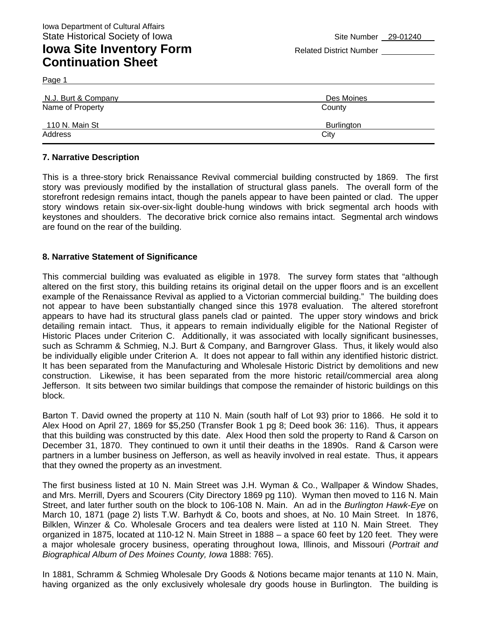## **Iowa Site Inventory Form** Related District Number **Related District Number Continuation Sheet**

Page 1

| N.J. Burt & Company | Des Moines |
|---------------------|------------|
| Name of Property    | County     |
| 110 N. Main St      | Burlington |
| Address             | City       |

#### **7. Narrative Description**

This is a three-story brick Renaissance Revival commercial building constructed by 1869. The first story was previously modified by the installation of structural glass panels. The overall form of the storefront redesign remains intact, though the panels appear to have been painted or clad. The upper story windows retain six-over-six-light double-hung windows with brick segmental arch hoods with keystones and shoulders. The decorative brick cornice also remains intact. Segmental arch windows are found on the rear of the building.

#### **8. Narrative Statement of Significance**

This commercial building was evaluated as eligible in 1978. The survey form states that "although altered on the first story, this building retains its original detail on the upper floors and is an excellent example of the Renaissance Revival as applied to a Victorian commercial building." The building does not appear to have been substantially changed since this 1978 evaluation. The altered storefront appears to have had its structural glass panels clad or painted. The upper story windows and brick detailing remain intact. Thus, it appears to remain individually eligible for the National Register of Historic Places under Criterion C. Additionally, it was associated with locally significant businesses, such as Schramm & Schmieg, N.J. Burt & Company, and Barngrover Glass. Thus, it likely would also be individually eligible under Criterion A. It does not appear to fall within any identified historic district. It has been separated from the Manufacturing and Wholesale Historic District by demolitions and new construction. Likewise, it has been separated from the more historic retail/commercial area along Jefferson. It sits between two similar buildings that compose the remainder of historic buildings on this block.

Barton T. David owned the property at 110 N. Main (south half of Lot 93) prior to 1866. He sold it to Alex Hood on April 27, 1869 for \$5,250 (Transfer Book 1 pg 8; Deed book 36: 116). Thus, it appears that this building was constructed by this date. Alex Hood then sold the property to Rand & Carson on December 31, 1870. They continued to own it until their deaths in the 1890s. Rand & Carson were partners in a lumber business on Jefferson, as well as heavily involved in real estate. Thus, it appears that they owned the property as an investment.

The first business listed at 10 N. Main Street was J.H. Wyman & Co., Wallpaper & Window Shades, and Mrs. Merrill, Dyers and Scourers (City Directory 1869 pg 110). Wyman then moved to 116 N. Main Street, and later further south on the block to 106-108 N. Main. An ad in the *Burlington Hawk-Eye* on March 10, 1871 (page 2) lists T.W. Barhydt & Co, boots and shoes, at No. 10 Main Street. In 1876, Bilklen, Winzer & Co. Wholesale Grocers and tea dealers were listed at 110 N. Main Street. They organized in 1875, located at 110-12 N. Main Street in 1888 – a space 60 feet by 120 feet. They were a major wholesale grocery business, operating throughout Iowa, Illinois, and Missouri (*Portrait and Biographical Album of Des Moines County, Iowa* 1888: 765).

In 1881, Schramm & Schmieg Wholesale Dry Goods & Notions became major tenants at 110 N. Main, having organized as the only exclusively wholesale dry goods house in Burlington. The building is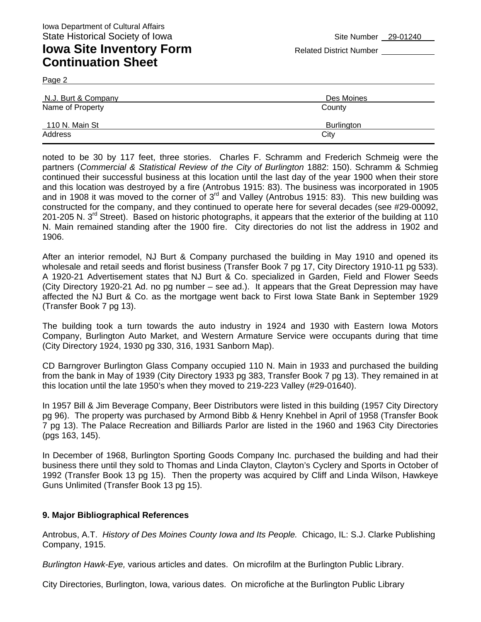## **Iowa Site Inventory Form** Related District Number **Related District Number Continuation Sheet**

Page 2

| N.J. Burt & Company | Des Moines |  |
|---------------------|------------|--|
| Name of Property    | County     |  |
| 110 N. Main St      | Burlington |  |
| Address             | City       |  |

noted to be 30 by 117 feet, three stories. Charles F. Schramm and Frederich Schmeig were the partners (*Commercial & Statistical Review of the City of Burlington* 1882: 150). Schramm & Schmieg continued their successful business at this location until the last day of the year 1900 when their store and this location was destroyed by a fire (Antrobus 1915: 83). The business was incorporated in 1905 and in 1908 it was moved to the corner of 3<sup>rd</sup> and Valley (Antrobus 1915: 83). This new building was constructed for the company, and they continued to operate here for several decades (see #29-00092, 201-205 N. 3<sup>rd</sup> Street). Based on historic photographs, it appears that the exterior of the building at 110 N. Main remained standing after the 1900 fire. City directories do not list the address in 1902 and 1906.

After an interior remodel, NJ Burt & Company purchased the building in May 1910 and opened its wholesale and retail seeds and florist business (Transfer Book 7 pg 17, City Directory 1910-11 pg 533). A 1920-21 Advertisement states that NJ Burt & Co. specialized in Garden, Field and Flower Seeds (City Directory 1920-21 Ad. no pg number – see ad.). It appears that the Great Depression may have affected the NJ Burt & Co. as the mortgage went back to First Iowa State Bank in September 1929 (Transfer Book 7 pg 13).

The building took a turn towards the auto industry in 1924 and 1930 with Eastern Iowa Motors Company, Burlington Auto Market, and Western Armature Service were occupants during that time (City Directory 1924, 1930 pg 330, 316, 1931 Sanborn Map).

CD Barngrover Burlington Glass Company occupied 110 N. Main in 1933 and purchased the building from the bank in May of 1939 (City Directory 1933 pg 383, Transfer Book 7 pg 13). They remained in at this location until the late 1950's when they moved to 219-223 Valley (#29-01640).

In 1957 Bill & Jim Beverage Company, Beer Distributors were listed in this building (1957 City Directory pg 96). The property was purchased by Armond Bibb & Henry Knehbel in April of 1958 (Transfer Book 7 pg 13). The Palace Recreation and Billiards Parlor are listed in the 1960 and 1963 City Directories (pgs 163, 145).

In December of 1968, Burlington Sporting Goods Company Inc. purchased the building and had their business there until they sold to Thomas and Linda Clayton, Clayton's Cyclery and Sports in October of 1992 (Transfer Book 13 pg 15). Then the property was acquired by Cliff and Linda Wilson, Hawkeye Guns Unlimited (Transfer Book 13 pg 15).

#### **9. Major Bibliographical References**

Antrobus, A.T. *History of Des Moines County Iowa and Its People.* Chicago, IL: S.J. Clarke Publishing Company, 1915.

*Burlington Hawk-Eye,* various articles and dates. On microfilm at the Burlington Public Library.

City Directories, Burlington, Iowa, various dates. On microfiche at the Burlington Public Library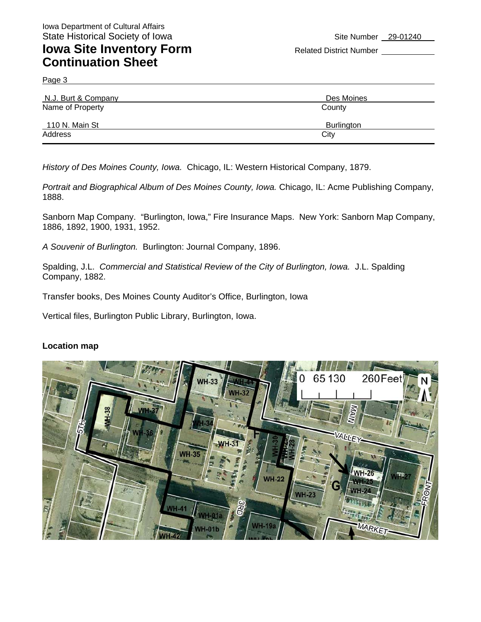## **Iowa Site Inventory Form** Related District Number **Continuation Sheet**

Page 3

| N.J. Burt & Company | Des Moines        |  |
|---------------------|-------------------|--|
| Name of Property    | County            |  |
| 110 N. Main St      | <b>Burlington</b> |  |
| Address             | City              |  |

*History of Des Moines County, Iowa.* Chicago, IL: Western Historical Company, 1879.

Portrait and Biographical Album of Des Moines County, Iowa. Chicago, IL: Acme Publishing Company, 1888.

Sanborn Map Company. "Burlington, Iowa," Fire Insurance Maps. New York: Sanborn Map Company, 1886, 1892, 1900, 1931, 1952.

*A Souvenir of Burlington.* Burlington: Journal Company, 1896.

Spalding, J.L. *Commercial and Statistical Review of the City of Burlington, Iowa.* J.L. Spalding Company, 1882.

Transfer books, Des Moines County Auditor's Office, Burlington, Iowa

Vertical files, Burlington Public Library, Burlington, Iowa.

#### **Location map**

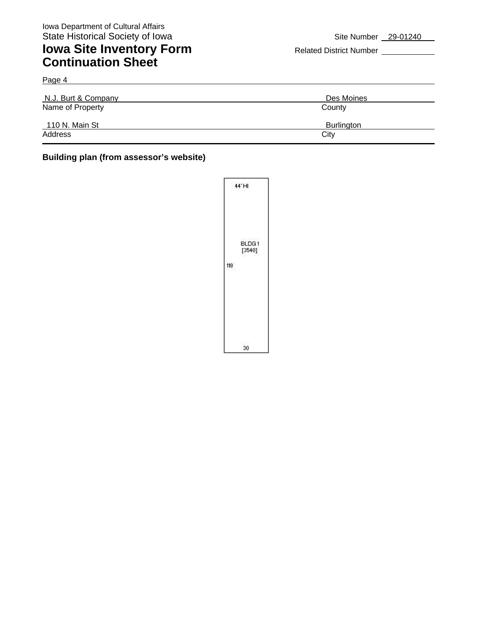Page 4

### **Iowa Site Inventory Form** Related District Number **Continuation Sheet**

| N.J. Burt & Company | Des Moines |  |
|---------------------|------------|--|
| Name of Property    | County     |  |
| 110 N. Main St      | Burlington |  |
| Address             | City       |  |

#### **Building plan (from assessor's website)**

|     | 44°H            |
|-----|-----------------|
| 118 | BLDG1<br>[3540] |
|     | 30              |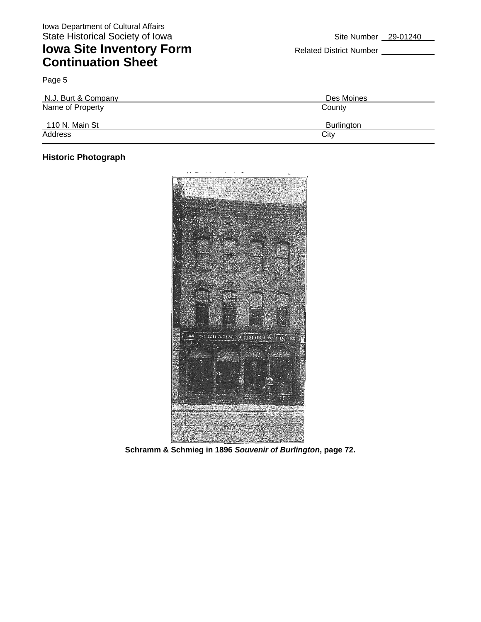## **Iowa Site Inventory Form** Related District Number **Continuation Sheet**

| N.J. Burt & Company | Des Moines        |
|---------------------|-------------------|
| Name of Property    | County            |
| 110 N. Main St      | <b>Burlington</b> |
| Address             | City              |

#### **Historic Photograph**

Page 5



**Schramm & Schmieg in 1896** *Souvenir of Burlington***, page 72.**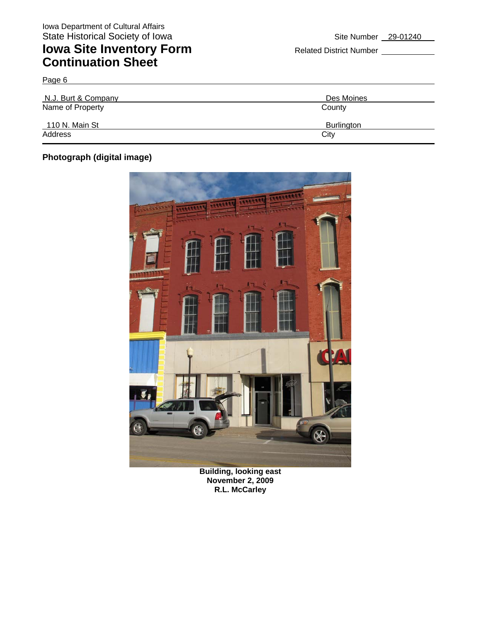## **Iowa Site Inventory Form** Related District Number **Related District Number Continuation Sheet**

Page 6 N.J. Burt & Company Des Moines Name of Property County 110 N. Main St Burlington Address City **City** 

### **Photograph (digital image)**



**Building, looking east November 2, 2009 R.L. McCarley**